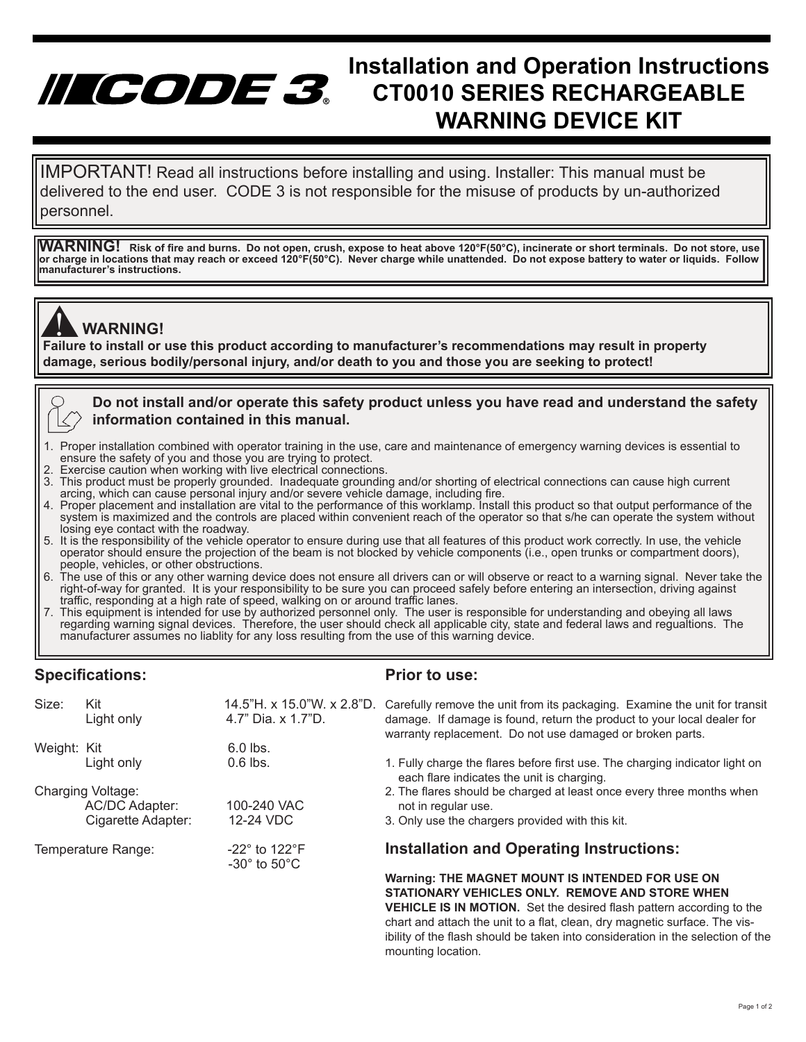## **INCCODE** 3<sup>8</sup> Installation and Operation Instructions<br>CODE 3 CT0010 SERIES RECHARGEABLE **CT0010 SERIES RECHARGEABLE WARNING DEVICE KIT**

 delivered to the end user. CODE 3 is not responsible for the misuse of products by un-authorized IMPORTANT! Read all instructions before installing and using. Installer: This manual must be personnel.

**WARNING! Risk of fire and burns. Do not open, crush, expose to heat above 120°F(50°C), incinerate or short terminals. Do not store, use or charge in locations that may reach or exceed 120°F(50°C). Never charge while unattended. Do not expose battery to water or liquids. Follow manufacturer's instructions.**

## **WARNING!**

**Failure to install or use this product according to manufacturer's recommendations may result in property**<br>Failure to install or use this product according to manufacturer's recommendations may result in property **damage, serious bodily/personal injury, and/or death to you and those you are seeking to protect!** 

#### **Do not install and/or operate this safety product unless you have read and understand the safety information contained in this manual.**

- 1. Proper installation combined with operator training in the use, care and maintenance of emergency warning devices is essential to ensure the safety of you and those you are trying to protect.<br>2. Exercise caution when working with live electrical connection
- Exercise caution when working with live electrical connections.
- 3. This product must be properly grounded. Inadequate grounding and/or shorting of electrical connections can cause high current arcing, which can cause personal injury and/or severe vehicle damage, including fire.
- 4. Proper placement and installation are vital to the performance of this worklamp. Install this product so that output performance of the system is maximized and the controls are placed within convenient reach of the operator so that s/he can operate the system without losing eye contact with the roadway.
- 5. It is the responsibility of the vehicle operator to ensure during use that all features of this product work correctly. In use, the vehicle operator should ensure the projection of the beam is not blocked by vehicle components (i.e., open trunks or compartment doors), people, vehicles, or other obstructions.
- 6. The use of this or any other warning device does not ensure all drivers can or will observe or react to a warning signal. Never take the right-of-way for granted. It is your responsibility to be sure you can proceed safely before entering an intersection, driving against traffic, responding at a high rate of speed, walking on or around traffic lanes.
- 7. This equipment is intended for use by authorized personnel only. The user is responsible for understanding and obeying all laws regarding warning signal devices. Therefore, the user should check all applicable city, state and federal laws and regualtions. The manufacturer assumes no liablity for any loss resulting from the use of this warning device.

#### **Specifications:**

#### **Prior to use:**

mounting location.

| Size:              | Kit<br>Light only  | 14.5"H. x 15.0"W. x 2.8"D.<br>4.7" Dia. x 1.7"D.             | Carefully remove the unit from its packaging. Examine the unit for transit<br>damage. If damage is found, return the product to your local dealer for<br>warranty replacement. Do not use damaged or broken parts. |
|--------------------|--------------------|--------------------------------------------------------------|--------------------------------------------------------------------------------------------------------------------------------------------------------------------------------------------------------------------|
| Weight: Kit        |                    | $6.0$ lbs.                                                   |                                                                                                                                                                                                                    |
|                    | Light only         | $0.6$ lbs.                                                   | 1. Fully charge the flares before first use. The charging indicator light on<br>each flare indicates the unit is charging.                                                                                         |
| Charging Voltage:  |                    |                                                              | 2. The flares should be charged at least once every three months when                                                                                                                                              |
|                    | AC/DC Adapter:     | 100-240 VAC                                                  | not in regular use.                                                                                                                                                                                                |
|                    | Cigarette Adapter: | 12-24 VDC                                                    | 3. Only use the chargers provided with this kit.                                                                                                                                                                   |
| Temperature Range: |                    | $-22^\circ$ to 122 $^\circ$ F<br>$-30^\circ$ to $50^\circ$ C | <b>Installation and Operating Instructions:</b>                                                                                                                                                                    |
|                    |                    |                                                              | Warning: THE MAGNET MOUNT IS INTENDED FOR USE ON                                                                                                                                                                   |
|                    |                    |                                                              | STATIONARY VEHICLES ONLY. REMOVE AND STORE WHEN                                                                                                                                                                    |
|                    |                    |                                                              | <b>VEHICLE IS IN MOTION.</b> Set the desired flash pattern according to the                                                                                                                                        |
|                    |                    |                                                              | chart and attach the unit to a flat, clean, dry magnetic surface. The vis-                                                                                                                                         |
|                    |                    |                                                              | joility of the flash should be taken into consideration in the selection of the                                                                                                                                    |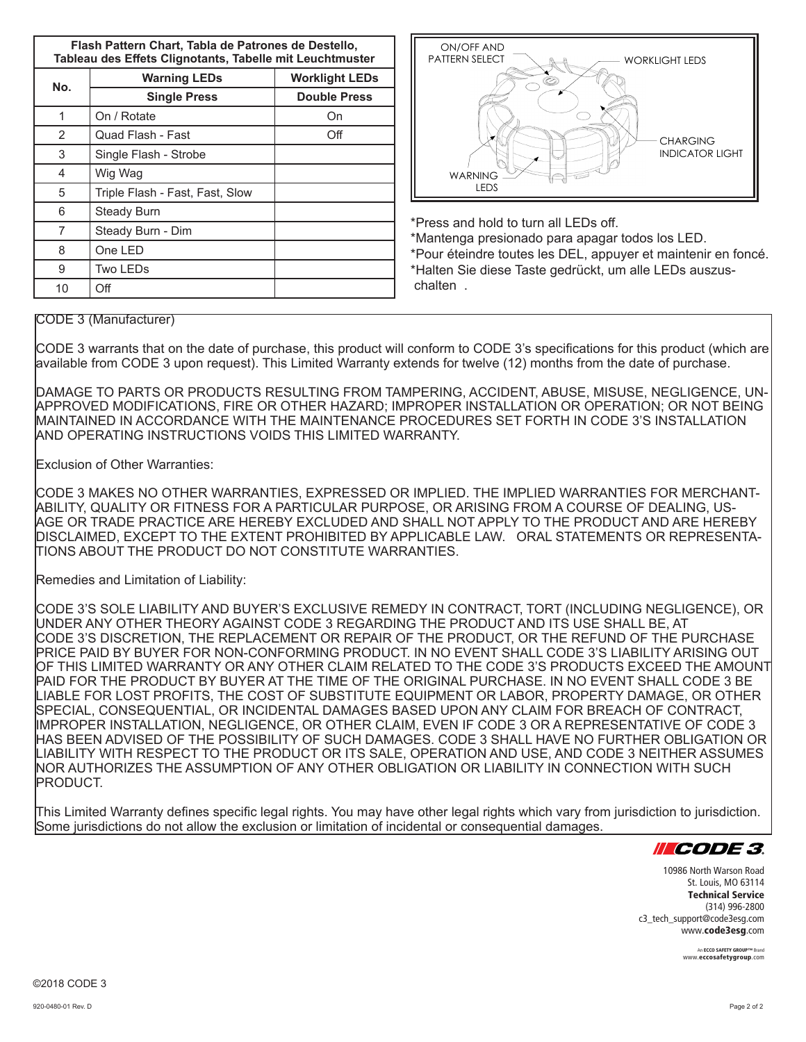**Flash Pattern Chart, Tabla de Patrones de Destello, Tableau des Effets Clignotants, Tabelle mit Leuchtmuster**

| No. | <b>Warning LEDs</b>             | <b>Worklight LEDs</b> |  |  |
|-----|---------------------------------|-----------------------|--|--|
|     | <b>Single Press</b>             | <b>Double Press</b>   |  |  |
| 1   | On / Rotate                     | On                    |  |  |
| 2   | Quad Flash - Fast               | Off                   |  |  |
| 3   | Single Flash - Strobe           |                       |  |  |
| 4   | Wig Wag                         |                       |  |  |
| 5   | Triple Flash - Fast, Fast, Slow |                       |  |  |
| 6   | Steady Burn                     |                       |  |  |
| 7   | Steady Burn - Dim               |                       |  |  |
| 8   | One LED                         |                       |  |  |
| 9   | Two LEDs                        |                       |  |  |
| 10  | Off                             |                       |  |  |



\*Press and hold to turn all LEDs off.

\*Mantenga presionado para apagar todos los LED. \*Pour éteindre toutes les DEL, appuyer et maintenir en foncé. \*Halten Sie diese Taste gedrückt, um alle LEDs auszus chalten .

#### CODE 3 (Manufacturer)

CODE 3 warrants that on the date of purchase, this product will conform to CODE 3's specifications for this product (which are available from CODE 3 upon request). This Limited Warranty extends for twelve (12) months from the date of purchase.

DAMAGE TO PARTS OR PRODUCTS RESULTING FROM TAMPERING, ACCIDENT, ABUSE, MISUSE, NEGLIGENCE, UN-APPROVED MODIFICATIONS, FIRE OR OTHER HAZARD; IMPROPER INSTALLATION OR OPERATION; OR NOT BEING MAINTAINED IN ACCORDANCE WITH THE MAINTENANCE PROCEDURES SET FORTH IN CODE 3'S INSTALLATION AND OPERATING INSTRUCTIONS VOIDS THIS LIMITED WARRANTY.

Exclusion of Other Warranties:

CODE 3 MAKES NO OTHER WARRANTIES, EXPRESSED OR IMPLIED. THE IMPLIED WARRANTIES FOR MERCHANT-ABILITY, QUALITY OR FITNESS FOR A PARTICULAR PURPOSE, OR ARISING FROM A COURSE OF DEALING, US-AGE OR TRADE PRACTICE ARE HEREBY EXCLUDED AND SHALL NOT APPLY TO THE PRODUCT AND ARE HEREBY DISCLAIMED, EXCEPT TO THE EXTENT PROHIBITED BY APPLICABLE LAW. ORAL STATEMENTS OR REPRESENTA-TIONS ABOUT THE PRODUCT DO NOT CONSTITUTE WARRANTIES.

Remedies and Limitation of Liability:

CODE 3'S SOLE LIABILITY AND BUYER'S EXCLUSIVE REMEDY IN CONTRACT, TORT (INCLUDING NEGLIGENCE), OR UNDER ANY OTHER THEORY AGAINST CODE 3 REGARDING THE PRODUCT AND ITS USE SHALL BE, AT CODE 3'S DISCRETION, THE REPLACEMENT OR REPAIR OF THE PRODUCT, OR THE REFUND OF THE PURCHASE PRICE PAID BY BUYER FOR NON-CONFORMING PRODUCT. IN NO EVENT SHALL CODE 3'S LIABILITY ARISING OUT OF THIS LIMITED WARRANTY OR ANY OTHER CLAIM RELATED TO THE CODE 3'S PRODUCTS EXCEED THE AMOUNT PAID FOR THE PRODUCT BY BUYER AT THE TIME OF THE ORIGINAL PURCHASE. IN NO EVENT SHALL CODE 3 BE LIABLE FOR LOST PROFITS, THE COST OF SUBSTITUTE EQUIPMENT OR LABOR, PROPERTY DAMAGE, OR OTHER SPECIAL, CONSEQUENTIAL, OR INCIDENTAL DAMAGES BASED UPON ANY CLAIM FOR BREACH OF CONTRACT, IMPROPER INSTALLATION, NEGLIGENCE, OR OTHER CLAIM, EVEN IF CODE 3 OR A REPRESENTATIVE OF CODE 3 HAS BEEN ADVISED OF THE POSSIBILITY OF SUCH DAMAGES. CODE 3 SHALL HAVE NO FURTHER OBLIGATION OR LIABILITY WITH RESPECT TO THE PRODUCT OR ITS SALE, OPERATION AND USE, AND CODE 3 NEITHER ASSUMES NOR AUTHORIZES THE ASSUMPTION OF ANY OTHER OBLIGATION OR LIABILITY IN CONNECTION WITH SUCH PRODUCT.

This Limited Warranty defines specific legal rights. You may have other legal rights which vary from jurisdiction to jurisdiction. Some jurisdictions do not allow the exclusion or limitation of incidental or consequential damages.



10986 North Warson Road St. Louis, MO 63114 Technical Service (314) 996-2800 c3\_tech\_support@code3esg.com www.code3esg.com

> An ECCO SAFETY GROUP™ Brand www.eccosafetygroup.com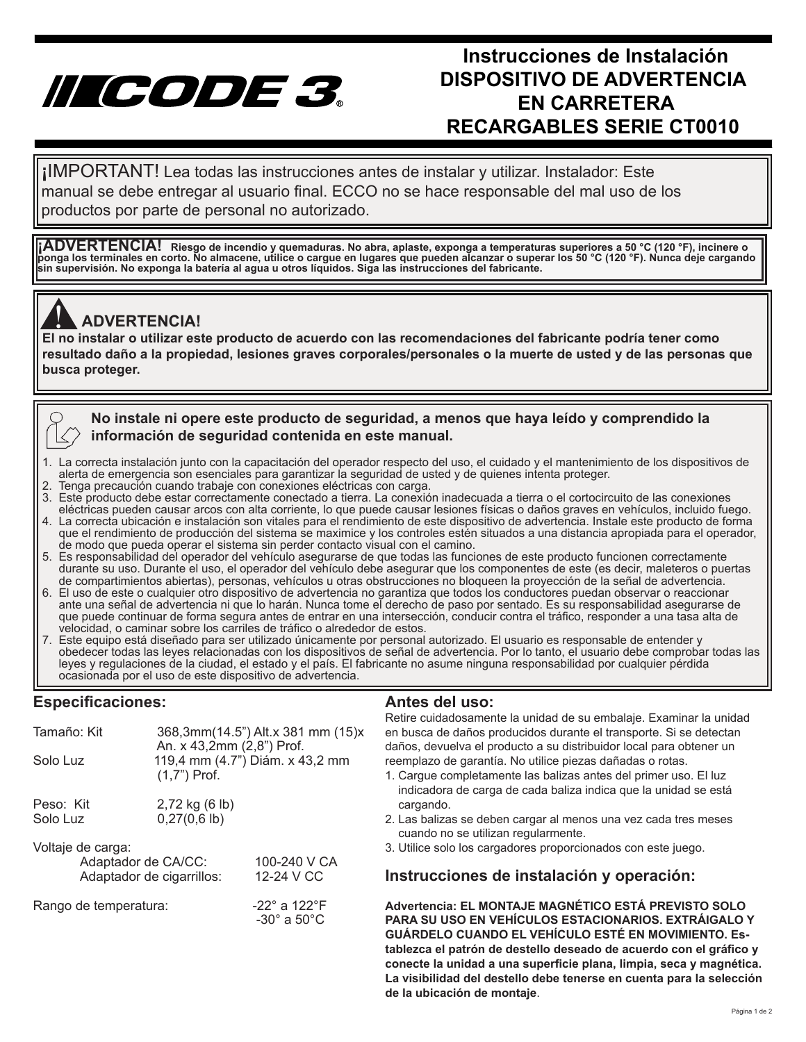# IICODE 3.

## **Instrucciones de Instalación DISPOSITIVO DE ADVERTENCIA EN CARRETERA RECARGABLES SERIE CT0010**

manual se debe entregar al usuario final. ECCO no se hace responsable del mal uso de los **¡**IMPORTANT! Lea todas las instrucciones antes de instalar y utilizar. Instalador: Este productos por parte de personal no autorizado.

**¡ADVERTENCIA! Riesgo de incendio y quemaduras. No abra, aplaste, exponga a temperaturas superiores a 50 °C (120 °F), incinere o ponga los terminales en corto. No almacene, utilice o cargue en lugares que pueden alcanzar o superar los 50 °C (120 °F). Nunca deje cargando sin supervisión. No exponga la batería al agua u otros líquidos. Siga las instrucciones del fabricante.**



### **ADVERTENCIA!**

**El no instalar o utilizar este producto de acuerdo con las recomendaciones del fabricante podría tener como**<br>El no instalar o utilizar este producto de acuerdo con las recomendaciones del fabricante podría tener como **resultado daño a la propiedad, lesiones graves corporales/personales o la muerte de usted y de las personas que busca proteger.** 



- 1. La correcta instalación junto con la capacitación del operador respecto del uso, el cuidado y el mantenimiento de los dispositivos de alerta de emergencia son esenciales para garantizar la seguridad de usted y de quienes intenta proteger.
- 2. Tenga precaución cuando trabaje con conexiones eléctricas con carga.
- 3. Este producto debe estar correctamente conectado a tierra. La conexión inadecuada a tierra o el cortocircuito de las conexiones eléctricas pueden causar arcos con alta corriente, lo que puede causar lesiones físicas o daños graves en vehículos, incluido fuego.
- 4. La correcta ubicación e instalación son vitales para el rendimiento de este dispositivo de advertencia. Instale este producto de forma que el rendimiento de producción del sistema se maximice y los controles estén situados a una distancia apropiada para el operador, de modo que pueda operar el sistema sin perder contacto visual con el camino.
- 5. Es responsabilidad del operador del vehículo asegurarse de que todas las funciones de este producto funcionen correctamente durante su uso. Durante el uso, el operador del vehículo debe asegurar que los componentes de este (es decir, maleteros o puertas de compartimientos abiertas), personas, vehículos u otras obstrucciones no bloqueen la proyección de la señal de advertencia.
- 6. El uso de este o cualquier otro dispositivo de advertencia no garantiza que todos los conductores puedan observar o reaccionar ante una señal de advertencia ni que lo harán. Nunca tome el derecho de paso por sentado. Es su responsabilidad asegurarse de que puede continuar de forma segura antes de entrar en una intersección, conducir contra el tráfico, responder a una tasa alta de velocidad, o caminar sobre los carriles de tráfico o alrededor de estos.
- 7. Este equipo está diseñado para ser utilizado únicamente por personal autorizado. El usuario es responsable de entender y obedecer todas las leyes relacionadas con los dispositivos de señal de advertencia. Por lo tanto, el usuario debe comprobar todas las leyes y regulaciones de la ciudad, el estado y el país. El fabricante no asume ninguna responsabilidad por cualquier pérdida ocasionada por el uso de este dispositivo de advertencia.

#### **Especificaciones:**

| Tamaño: Kit<br>Solo Luz                                               | An. x 43,2mm (2,8") Prof.<br>$(1,7")$ Prof. | 368,3mm(14.5") Alt.x 381 mm (15)x<br>119,4 mm (4.7") Diám. x 43,2 mm |
|-----------------------------------------------------------------------|---------------------------------------------|----------------------------------------------------------------------|
| Peso: Kit<br>Solo Luz                                                 | 2,72 kg (6 lb)<br>$0,27(0,6)$ lb)           |                                                                      |
| Voltaje de carga:<br>Adaptador de CA/CC:<br>Adaptador de cigarrillos: |                                             | 100-240 V CA<br>12-24 V CC                                           |
| Rango de temperatura:                                                 |                                             | -22 $^{\circ}$ a 122 $^{\circ}$ F<br>$-30^\circ$ a $50^\circ$ C      |

#### **Antes del uso:**

Retire cuidadosamente la unidad de su embalaje. Examinar la unidad en busca de daños producidos durante el transporte. Si se detectan daños, devuelva el producto a su distribuidor local para obtener un reemplazo de garantía. No utilice piezas dañadas o rotas.

- 1. Cargue completamente las balizas antes del primer uso. El luz indicadora de carga de cada baliza indica que la unidad se está cargando.
- 2. Las balizas se deben cargar al menos una vez cada tres meses cuando no se utilizan regularmente.
- 3. Utilice solo los cargadores proporcionados con este juego.

#### **Instrucciones de instalación y operación:**

**Advertencia: EL MONTAJE MAGNÉTICO ESTÁ PREVISTO SOLO PARA SU USO EN VEHÍCULOS ESTACIONARIOS. EXTRÁIGALO Y GUÁRDELO CUANDO EL VEHÍCULO ESTÉ EN MOVIMIENTO. Establezca el patrón de destello deseado de acuerdo con el gráfico y conecte la unidad a una superficie plana, limpia, seca y magnética. La visibilidad del destello debe tenerse en cuenta para la selección de la ubicación de montaje**.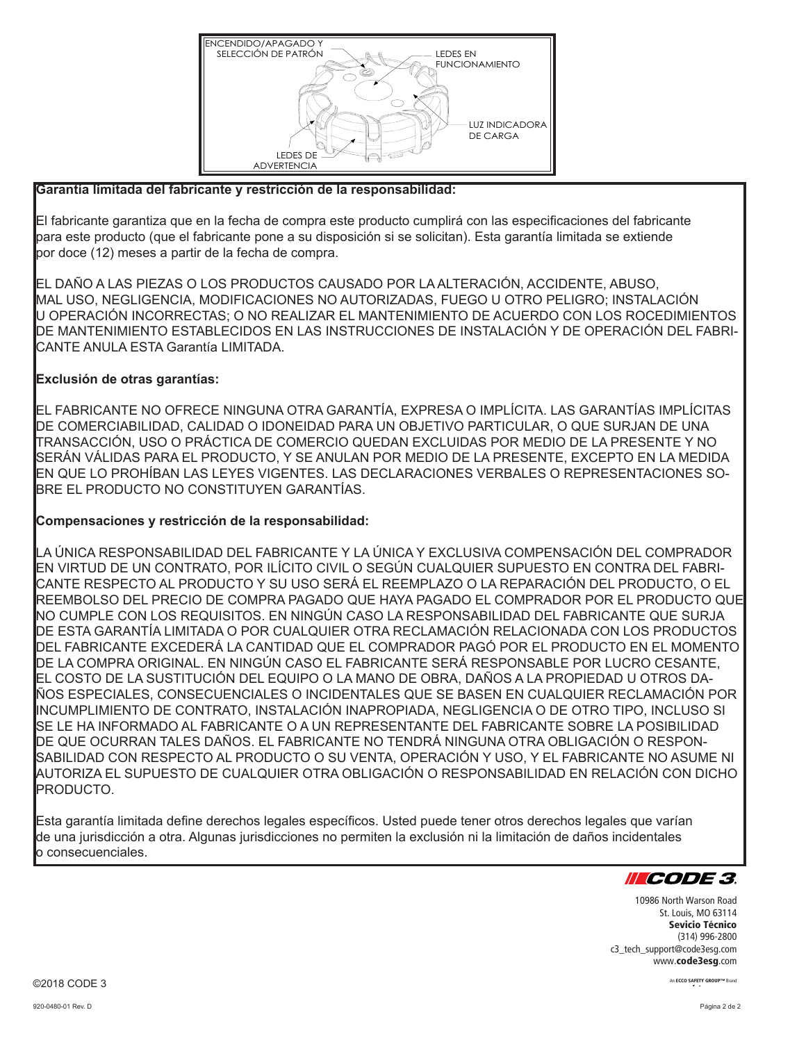

#### **Garantía limitada del fabricante y restricción de la responsabilidad:**

El fabricante garantiza que en la fecha de compra este producto cumplirá con las especificaciones del fabricante para este producto (que el fabricante pone a su disposición si se solicitan). Esta garantía limitada se extiende por doce (12) meses a partir de la fecha de compra.

EL DAÑO A LAS PIEZAS O LOS PRODUCTOS CAUSADO POR LA ALTERACIÓN, ACCIDENTE, ABUSO, MAL USO, NEGLIGENCIA, MODIFICACIONES NO AUTORIZADAS, FUEGO U OTRO PELIGRO; INSTALACIÓN U OPERACIÓN INCORRECTAS; O NO REALIZAR EL MANTENIMIENTO DE ACUERDO CON LOS ROCEDIMIENTOS DE MANTENIMIENTO ESTABLECIDOS EN LAS INSTRUCCIONES DE INSTALACIÓN Y DE OPERACIÓN DEL FABRI-CANTE ANULA ESTA Garantía LIMITADA.

#### **Exclusión de otras garantías:**

EL FABRICANTE NO OFRECE NINGUNA OTRA GARANTÍA, EXPRESA O IMPLÍCITA. LAS GARANTÍAS IMPLÍCITAS DE COMERCIABILIDAD, CALIDAD O IDONEIDAD PARA UN OBJETIVO PARTICULAR, O QUE SURJAN DE UNA TRANSACCIÓN, USO O PRÁCTICA DE COMERCIO QUEDAN EXCLUIDAS POR MEDIO DE LA PRESENTE Y NO SERÁN VÁLIDAS PARA EL PRODUCTO, Y SE ANULAN POR MEDIO DE LA PRESENTE, EXCEPTO EN LA MEDIDA EN QUE LO PROHÍBAN LAS LEYES VIGENTES. LAS DECLARACIONES VERBALES O REPRESENTACIONES SO-BRE EL PRODUCTO NO CONSTITUYEN GARANTÍAS.

#### **Compensaciones y restricción de la responsabilidad:**

LA ÚNICA RESPONSABILIDAD DEL FABRICANTE Y LA ÚNICA Y EXCLUSIVA COMPENSACIÓN DEL COMPRADOR EN VIRTUD DE UN CONTRATO, POR ILÍCITO CIVIL O SEGÚN CUALQUIER SUPUESTO EN CONTRA DEL FABRI-CANTE RESPECTO AL PRODUCTO Y SU USO SERÁ EL REEMPLAZO O LA REPARACIÓN DEL PRODUCTO, O EL REEMBOLSO DEL PRECIO DE COMPRA PAGADO QUE HAYA PAGADO EL COMPRADOR POR EL PRODUCTO QUE NO CUMPLE CON LOS REQUISITOS. EN NINGÚN CASO LA RESPONSABILIDAD DEL FABRICANTE QUE SURJA DE ESTA GARANTÍA LIMITADA O POR CUALQUIER OTRA RECLAMACIÓN RELACIONADA CON LOS PRODUCTOS DEL FABRICANTE EXCEDERÁ LA CANTIDAD QUE EL COMPRADOR PAGÓ POR EL PRODUCTO EN EL MOMENTO DE LA COMPRA ORIGINAL. EN NINGÚN CASO EL FABRICANTE SERÁ RESPONSABLE POR LUCRO CESANTE, EL COSTO DE LA SUSTITUCIÓN DEL EQUIPO O LA MANO DE OBRA, DAÑOS A LA PROPIEDAD U OTROS DA-ÑOS ESPECIALES, CONSECUENCIALES O INCIDENTALES QUE SE BASEN EN CUALQUIER RECLAMACIÓN POR INCUMPLIMIENTO DE CONTRATO, INSTALACIÓN INAPROPIADA, NEGLIGENCIA O DE OTRO TIPO, INCLUSO SI SE LE HA INFORMADO AL FABRICANTE O A UN REPRESENTANTE DEL FABRICANTE SOBRE LA POSIBILIDAD DE QUE OCURRAN TALES DAÑOS. EL FABRICANTE NO TENDRÁ NINGUNA OTRA OBLIGACIÓN O RESPON-SABILIDAD CON RESPECTO AL PRODUCTO O SU VENTA, OPERACIÓN Y USO, Y EL FABRICANTE NO ASUME NI AUTORIZA EL SUPUESTO DE CUALQUIER OTRA OBLIGACIÓN O RESPONSABILIDAD EN RELACIÓN CON DICHO PRODUCTO.

Esta garantía limitada define derechos legales específicos. Usted puede tener otros derechos legales que varían de una jurisdicción a otra. Algunas jurisdicciones no permiten la exclusión ni la limitación de daños incidentales o consecuenciales.



10986 North Warson Road St. Louis, MO 63114 Sevicio Técnico (314) 996-2800 c3\_tech\_support@code3esg.com www.code3esg.com

> An ECCO SAFETY GROUP™ Brand www.eccosafetygroup.com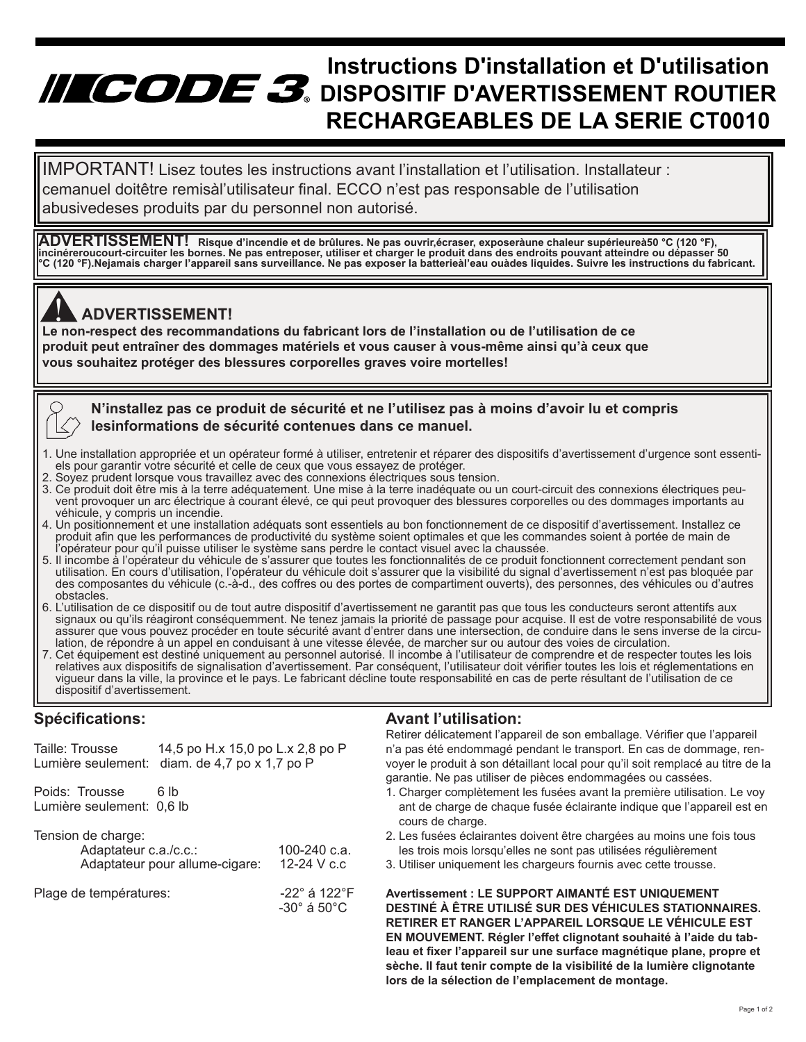## **Instructions D'installation et D'utilisation INCODE 3.** DISPOSITIF D'AVERTISSEMENT ROUTIER **RECHARGEABLES DE LA SERIE CT0010**

 cemanuel doitêtre remisàl'utilisateur final. ECCO n'est pas responsable de l'utilisation IMPORTANT! Lisez toutes les instructions avant l'installation et l'utilisation. Installateur : abusivedeses produits par du personnel non autorisé.

**ADVERTISSEMENT! Risque d'incendie et de brûlures. Ne pas ouvrir,écraser, exposeràune chaleur supérieureà50 °C (120 °F), incinéreroucourt-circuiter les bornes. Ne pas entreposer, utiliser et charger le produit dans des endroits pouvant atteindre ou dépasser 50 °C (120 °F).Nejamais charger l'appareil sans surveillance. Ne pas exposer la batterieàl'eau ouàdes liquides. Suivre les instructions du fabricant.**

## **ADVERTISSEMENT!**

**Le non-respect des recommandations du fabricant lors de l'installation ou de l'utilisation de ce<br>Le non-respect des recommandations du fabricant lors de l'installation ou de l'utilisation de ce produit peut entraîner des dommages matériels et vous causer à vous-même ainsi qu'à ceux que vous souhaitez protéger des blessures corporelles graves voire mortelles!**

 **N'installez pas ce produit de sécurité et ne l'utilisez pas à moins d'avoir lu et compris lesinformations de sécurité contenues dans ce manuel.**

- 1. Une installation appropriée et un opérateur formé à utiliser, entretenir et réparer des dispositifs d'avertissement d'urgence sont essenti els pour garantir votre sécurité et celle de ceux que vous essayez de protéger.<br>2. Sovez prudent lorsque vous travaillez avec des connexions électriques sous te
- Soyez prudent lorsque vous travaillez avec des connexions électriques sous tension.
- 3. Ce produit doit être mis à la terre adéquatement. Une mise à la terre inadéquate ou un court-circuit des connexions électriques peu vent provoquer un arc électrique à courant élevé, ce qui peut provoquer des blessures corporelles ou des dommages importants au véhicule, y compris un incendie.
- 4. Un positionnement et une installation adéquats sont essentiels au bon fonctionnement de ce dispositif d'avertissement. Installez ce produit afin que les performances de productivité du système soient optimales et que les commandes soient à portée de main de l'opérateur pour qu'il puisse utiliser le système sans perdre le contact visuel avec la chaussée.
- 5. Il incombe à l'opérateur du véhicule de s'assurer que toutes les fonctionnalités de ce produit fonctionnent correctement pendant son utilisation. En cours d'utilisation, l'opérateur du véhicule doit s'assurer que la visibilité du signal d'avertissement n'est pas bloquée par des composantes du véhicule (c.-à-d., des coffres ou des portes de compartiment ouverts), des personnes, des véhicules ou d'autres obstacles.
- 6. L'utilisation de ce dispositif ou de tout autre dispositif d'avertissement ne garantit pas que tous les conducteurs seront attentifs aux signaux ou qu'ils réagiront conséquemment. Ne tenez jamais la priorité de passage pour acquise. Il est de votre responsabilité de vous assurer que vous pouvez procéder en toute sécurité avant d'entrer dans une intersection, de conduire dans le sens inverse de la circu lation, de répondre à un appel en conduisant à une vitesse élevée, de marcher sur ou autour des voies de circulation.
- 7. Cet équipement est destiné uniquement au personnel autorisé. Il incombe à l'utilisateur de comprendre et de respecter toutes les lois vigueur dans la ville, la province et le pays. Le fabricant décline toute responsabilité en cas de perte résultant de l'utilisation de ce dispositif d'avertissement.

#### **Spécifications:**

|  | <b>Avant l'utilisation:</b> |
|--|-----------------------------|
|  |                             |

| Taille: Trousse<br>Lumière seulement: diam. de 4,7 po x 1,7 po P | 14,5 po H.x 15,0 po L.x 2,8 po P |                                                  |
|------------------------------------------------------------------|----------------------------------|--------------------------------------------------|
| Poids: Trousse<br>Lumière seulement: 0,6 lb                      | 6 lb                             |                                                  |
| Tension de charge:<br>Adaptateur c.a./c.c.:                      | Adaptateur pour allume-cigare:   | 100-240 $c.a.$<br>12-24 V c.c.                   |
| Plage de températures:                                           |                                  | -22 $^{\circ}$ á 122 $^{\circ}$ F<br>-30° á 50°C |
|                                                                  |                                  |                                                  |

Retirer délicatement l'appareil de son emballage. Vérifier que l'appareil n'a pas été endommagé pendant le transport. En cas de dommage, renvoyer le produit à son détaillant local pour qu'il soit remplacé au titre de la garantie. Ne pas utiliser de pièces endommagées ou cassées.

- 1. Charger complètement les fusées avant la première utilisation. Le voy ant de charge de chaque fusée éclairante indique que l'appareil est en cours de charge.
- 2. Les fusées éclairantes doivent être chargées au moins une fois tous les trois mois lorsqu'elles ne sont pas utilisées régulièrement
- 3. Utiliser uniquement les chargeurs fournis avec cette trousse.

**Avertissement : LE SUPPORT AIMANTÉ EST UNIQUEMENT DESTINÉ À ÊTRE UTILISÉ SUR DES VÉHICULES STATIONNAIRES. RETIRER ET RANGER L'APPAREIL LORSQUE LE VÉHICULE EST EN MOUVEMENT. Régler l'effet clignotant souhaité à l'aide du tableau et fixer l'appareil sur une surface magnétique plane, propre et sèche. Il faut tenir compte de la visibilité de la lumière clignotante lors de la sélection de l'emplacement de montage.**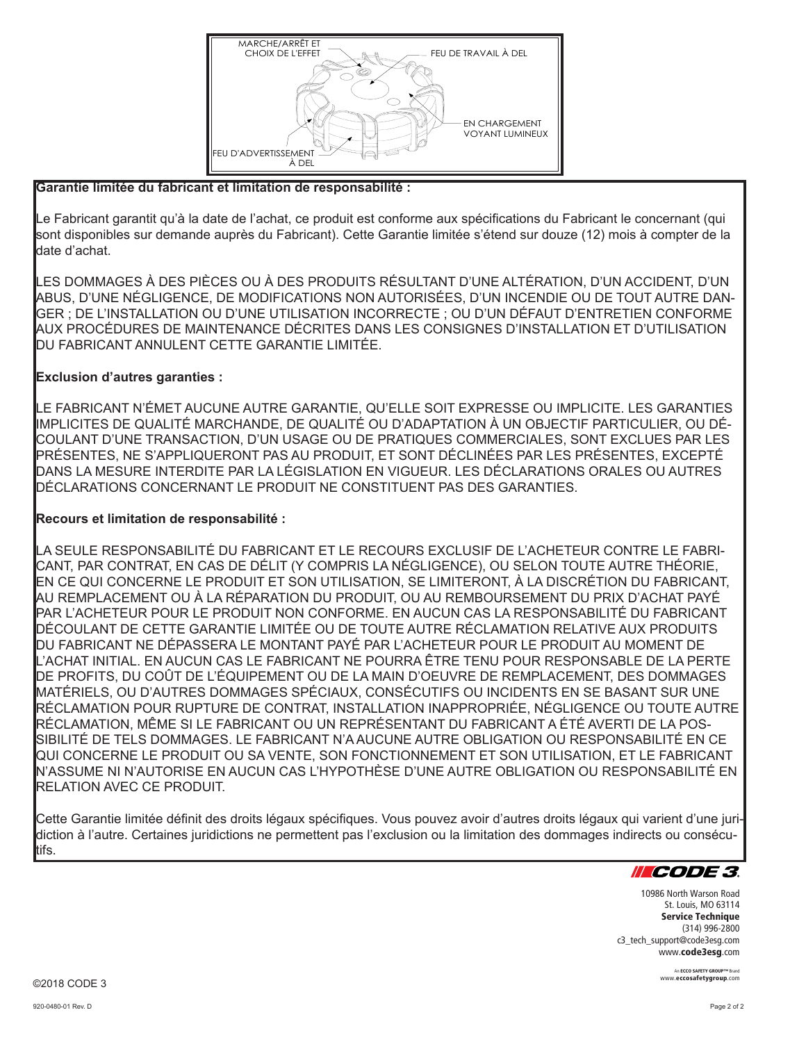

#### **Garantie limitée du fabricant et limitation de responsabilité :**

Le Fabricant garantit qu'à la date de l'achat, ce produit est conforme aux spécifications du Fabricant le concernant (qui sont disponibles sur demande auprès du Fabricant). Cette Garantie limitée s'étend sur douze (12) mois à compter de la date d'achat.

LES DOMMAGES À DES PIÈCES OU À DES PRODUITS RÉSULTANT D'UNE ALTÉRATION, D'UN ACCIDENT, D'UN ABUS, D'UNE NÉGLIGENCE, DE MODIFICATIONS NON AUTORISÉES, D'UN INCENDIE OU DE TOUT AUTRE DAN-GER ; DE L'INSTALLATION OU D'UNE UTILISATION INCORRECTE ; OU D'UN DÉFAUT D'ENTRETIEN CONFORME AUX PROCÉDURES DE MAINTENANCE DÉCRITES DANS LES CONSIGNES D'INSTALLATION ET D'UTILISATION DU FABRICANT ANNULENT CETTE GARANTIE LIMITÉE.

#### **Exclusion d'autres garanties :**

LE FABRICANT N'ÉMET AUCUNE AUTRE GARANTIE, QU'ELLE SOIT EXPRESSE OU IMPLICITE. LES GARANTIES IMPLICITES DE QUALITÉ MARCHANDE, DE QUALITÉ OU D'ADAPTATION À UN OBJECTIF PARTICULIER, OU DÉ-COULANT D'UNE TRANSACTION, D'UN USAGE OU DE PRATIQUES COMMERCIALES, SONT EXCLUES PAR LES PRÉSENTES, NE S'APPLIQUERONT PAS AU PRODUIT, ET SONT DÉCLINÉES PAR LES PRÉSENTES, EXCEPTÉ DANS LA MESURE INTERDITE PAR LA LÉGISLATION EN VIGUEUR. LES DÉCLARATIONS ORALES OU AUTRES DÉCLARATIONS CONCERNANT LE PRODUIT NE CONSTITUENT PAS DES GARANTIES.

#### **Recours et limitation de responsabilité :**

LA SEULE RESPONSABILITÉ DU FABRICANT ET LE RECOURS EXCLUSIF DE L'ACHETEUR CONTRE LE FABRI-CANT, PAR CONTRAT, EN CAS DE DÉLIT (Y COMPRIS LA NÉGLIGENCE), OU SELON TOUTE AUTRE THÉORIE, EN CE QUI CONCERNE LE PRODUIT ET SON UTILISATION, SE LIMITERONT, À LA DISCRÉTION DU FABRICANT, AU REMPLACEMENT OU À LA RÉPARATION DU PRODUIT, OU AU REMBOURSEMENT DU PRIX D'ACHAT PAYÉ PAR L'ACHETEUR POUR LE PRODUIT NON CONFORME. EN AUCUN CAS LA RESPONSABILITÉ DU FABRICANT DÉCOULANT DE CETTE GARANTIE LIMITÉE OU DE TOUTE AUTRE RÉCLAMATION RELATIVE AUX PRODUITS DU FABRICANT NE DÉPASSERA LE MONTANT PAYÉ PAR L'ACHETEUR POUR LE PRODUIT AU MOMENT DE L'ACHAT INITIAL. EN AUCUN CAS LE FABRICANT NE POURRA ÊTRE TENU POUR RESPONSABLE DE LA PERTE DE PROFITS, DU COÛT DE L'ÉQUIPEMENT OU DE LA MAIN D'OEUVRE DE REMPLACEMENT, DES DOMMAGES MATÉRIELS, OU D'AUTRES DOMMAGES SPÉCIAUX, CONSÉCUTIFS OU INCIDENTS EN SE BASANT SUR UNE RÉCLAMATION POUR RUPTURE DE CONTRAT, INSTALLATION INAPPROPRIÉE, NÉGLIGENCE OU TOUTE AUTRE RÉCLAMATION, MÊME SI LE FABRICANT OU UN REPRÉSENTANT DU FABRICANT A ÉTÉ AVERTI DE LA POS-SIBILITÉ DE TELS DOMMAGES. LE FABRICANT N'A AUCUNE AUTRE OBLIGATION OU RESPONSABILITÉ EN CE QUI CONCERNE LE PRODUIT OU SA VENTE, SON FONCTIONNEMENT ET SON UTILISATION, ET LE FABRICANT N'ASSUME NI N'AUTORISE EN AUCUN CAS L'HYPOTHÈSE D'UNE AUTRE OBLIGATION OU RESPONSABILITÉ EN RELATION AVEC CE PRODUIT.

Cette Garantie limitée définit des droits légaux spécifiques. Vous pouvez avoir d'autres droits légaux qui varient d'une juridiction à l'autre. Certaines juridictions ne permettent pas l'exclusion ou la limitation des dommages indirects ou consécutifs.



10986 North Warson Road St. Louis, MO 63114 Service Technique (314) 996-2800 c3\_tech\_support@code3esg.com www.code3esg.com

> An ECCO SAFETY GROUP™ Br www.eccosafetygroup.com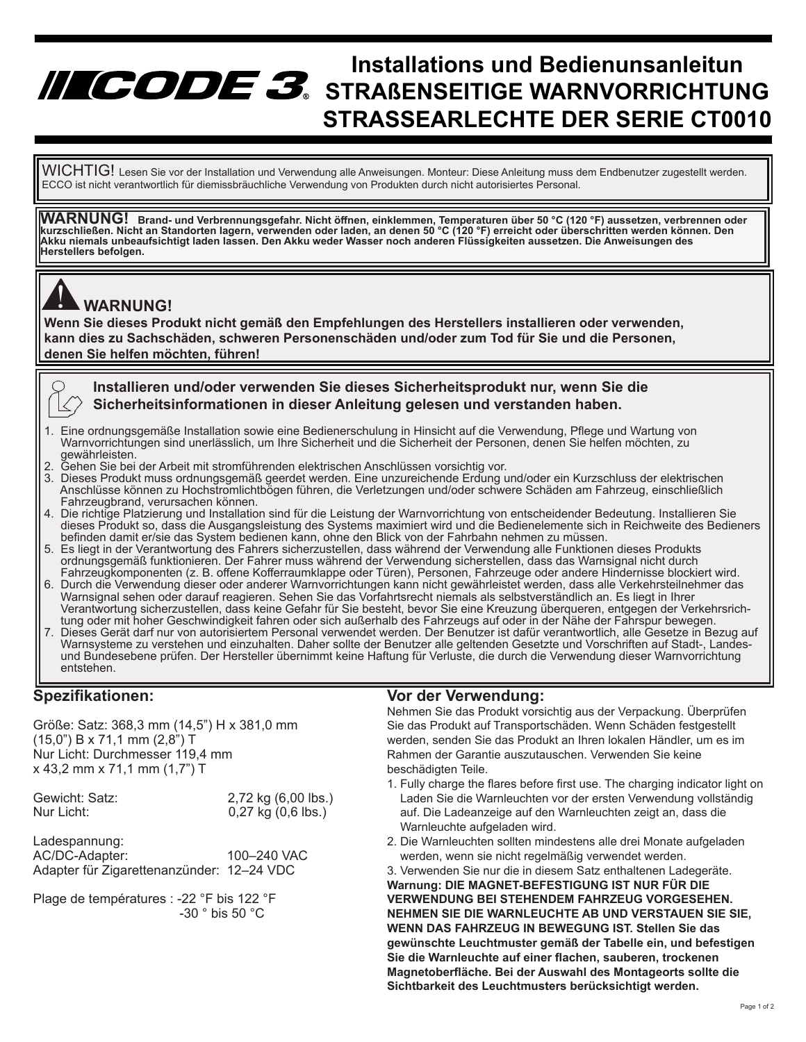## **Installations und Bedienunsanleitun STRAßENSEITIGE WARNVORRICHTUNG STRASSEARLECHTE DER SERIE CT0010**

 ECCO ist nicht verantwortlich für diemissbräuchliche Verwendung von Produkten durch nicht autorisiertes Personal.  $\sf WICHTIG!$  Lesen Sie vor der Installation und Verwendung alle Anweisungen. Monteur: Diese Anleitung muss dem Endbenutzer zugestellt werden.

WARNUNG! Brand- und Verbrennungsgefahr. Nicht öffnen, einklemmen, Temperaturen über 50 °C (120 °F) aussetzen, verbrennen oder<br>kurzschließen. Nicht an Standorten lagern, verwenden oder laden, an denen 50 °C (120 °F) erre **Akku niemals unbeaufsichtigt laden lassen. Den Akku weder Wasser noch anderen Flüssigkeiten aussetzen. Die Anweisungen des Herstellers befolgen.**



#### **WARNUNG!**

**Wenn Sie dieses Produkt nicht gemäß den Empfehlungen des Herstellers installieren oder verwenden, kann dies zu Sachschäden, schweren Personenschäden und/oder zum Tod für Sie und die Personen, denen Sie helfen möchten, führen!** 



**Installieren und/oder verwenden Sie dieses Sicherheitsprodukt nur, wenn Sie die Sicherheitsinformationen in dieser Anleitung gelesen und verstanden haben.**

- 1. Eine ordnungsgemäße Installation sowie eine Bedienerschulung in Hinsicht auf die Verwendung, Pflege und Wartung von Warnvorrichtungen sind unerlässlich, um Ihre Sicherheit und die Sicherheit der Personen, denen Sie helfen möchten, zu gewährleisten.
- 2. Gehen Sie bei der Arbeit mit stromführenden elektrischen Anschlüssen vorsichtig vor.
- 3. Dieses Produkt muss ordnungsgemäß geerdet werden. Eine unzureichende Erdung und/oder ein Kurzschluss der elektrischen Anschlüsse können zu Hochstromlichtbögen führen, die Verletzungen und/oder schwere Schäden am Fahrzeug, einschließlich Fahrzeugbrand, verursachen können.
- 4. Die richtige Platzierung und Installation sind für die Leistung der Warnvorrichtung von entscheidender Bedeutung. Installieren Sie dieses Produkt so, dass die Ausgangsleistung des Systems maximiert wird und die Bedienelemente sich in Reichweite des Bedieners befinden damit er/sie das System bedienen kann, ohne den Blick von der Fahrbahn nehmen zu müssen.
- 5. Es liegt in der Verantwortung des Fahrers sicherzustellen, dass während der Verwendung alle Funktionen dieses Produkts ordnungsgemäß funktionieren. Der Fahrer muss während der Verwendung sicherstellen, dass das Warnsignal nicht durch Fahrzeugkomponenten (z. B. offene Kofferraumklappe oder Türen), Personen, Fahrzeuge oder andere Hindernisse blockiert wird.
- 6. Durch die Verwendung dieser oder anderer Warnvorrichtungen kann nicht gewährleistet werden, dass alle Verkehrsteilnehmer das Warnsignal sehen oder darauf reagieren. Sehen Sie das Vorfahrtsrecht niemals als selbstverständlich an. Es liegt in Ihrer Verantwortung sicherzustellen, dass keine Gefahr für Sie besteht, bevor Sie eine Kreuzung überqueren, entgegen der Verkehrsrich tung oder mit hoher Geschwindigkeit fahren oder sich außerhalb des Fahrzeugs auf oder in der Nähe der Fahrspur bewegen.
- 7. Dieses Gerät darf nur von autorisiertem Personal verwendet werden. Der Benutzer ist dafür verantwortlich, alle Gesetze in Bezug auf Warnsysteme zu verstehen und einzuhalten. Daher sollte der Benutzer alle geltenden Gesetzte und Vorschriften auf Stadt-, Landes und Bundesebene prüfen. Der Hersteller übernimmt keine Haftung für Verluste, die durch die Verwendung dieser Warnvorrichtung entstehen.

#### **Spezifikationen:**

Größe: Satz: 368,3 mm (14,5") H x 381,0 mm (15,0") B x 71,1 mm (2,8") T Nur Licht: Durchmesser 119,4 mm x 43,2 mm x 71,1 mm (1,7") T

| Gewicht: Satz:              | 2,72 kg (6,00 lbs.)    |
|-----------------------------|------------------------|
| Nur Licht:                  | $0,27$ kg $(0,6$ lbs.) |
| Ladespannung:<br>$\sqrt{2}$ | 10000101100            |

AC/DC-Adapter: 100–240 VAC Adapter für Zigarettenanzünder: 12–24 VDC

Plage de températures : -22 °F bis 122 °F -30 ° bis 50 °C

#### **Vor der Verwendung:**

Nehmen Sie das Produkt vorsichtig aus der Verpackung. Überprüfen Sie das Produkt auf Transportschäden. Wenn Schäden festgestellt werden, senden Sie das Produkt an Ihren lokalen Händler, um es im Rahmen der Garantie auszutauschen. Verwenden Sie keine beschädigten Teile.

- 1. Fully charge the flares before first use. The charging indicator light on Laden Sie die Warnleuchten vor der ersten Verwendung vollständig auf. Die Ladeanzeige auf den Warnleuchten zeigt an, dass die Warnleuchte aufgeladen wird.
- 2. Die Warnleuchten sollten mindestens alle drei Monate aufgeladen werden, wenn sie nicht regelmäßig verwendet werden.

3. Verwenden Sie nur die in diesem Satz enthaltenen Ladegeräte. **Warnung: DIE MAGNET-BEFESTIGUNG IST NUR FÜR DIE VERWENDUNG BEI STEHENDEM FAHRZEUG VORGESEHEN. NEHMEN SIE DIE WARNLEUCHTE AB UND VERSTAUEN SIE SIE, WENN DAS FAHRZEUG IN BEWEGUNG IST. Stellen Sie das gewünschte Leuchtmuster gemäß der Tabelle ein, und befestigen Sie die Warnleuchte auf einer flachen, sauberen, trockenen Magnetoberfläche. Bei der Auswahl des Montageorts sollte die Sichtbarkeit des Leuchtmusters berücksichtigt werden.**